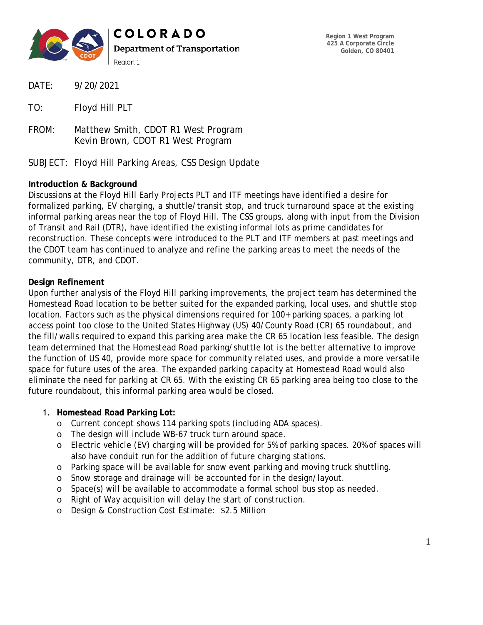

- DATE: 9/20/2021
- TO: Floyd Hill PLT
- FROM: Matthew Smith, CDOT R1 West Program Kevin Brown, CDOT R1 West Program

SUBJECT: Floyd Hill Parking Areas, CSS Design Update

# **Introduction & Background**

Discussions at the Floyd Hill Early Projects PLT and ITF meetings have identified a desire for formalized parking, EV charging, a shuttle/transit stop, and truck turnaround space at the existing informal parking areas near the top of Floyd Hill. The CSS groups, along with input from the Division of Transit and Rail (DTR), have identified the existing informal lots as prime candidates for reconstruction. These concepts were introduced to the PLT and ITF members at past meetings and the CDOT team has continued to analyze and refine the parking areas to meet the needs of the community, DTR, and CDOT.

# **Design Refinement**

Upon further analysis of the Floyd Hill parking improvements, the project team has determined the Homestead Road location to be better suited for the expanded parking, local uses, and shuttle stop location. Factors such as the physical dimensions required for 100+ parking spaces, a parking lot access point too close to the United States Highway (US) 40/County Road (CR) 65 roundabout, and the fill/walls required to expand this parking area make the CR 65 location less feasible. The design team determined that the Homestead Road parking/shuttle lot is the better alternative to improve the function of US 40, provide more space for community related uses, and provide a more versatile space for future uses of the area. The expanded parking capacity at Homestead Road would also eliminate the need for parking at CR 65. With the existing CR 65 parking area being too close to the future roundabout, this informal parking area would be closed.

### 1. **Homestead Road Parking Lot:**

- o Current concept shows 114 parking spots (including ADA spaces).
- o The design will include WB-67 truck turn around space.
- o Electric vehicle (EV) charging will be provided for 5% of parking spaces. 20% of spaces will also have conduit run for the addition of future charging stations.
- o Parking space will be available for snow event parking and moving truck shuttling.
- o Snow storage and drainage will be accounted for in the design/layout.
- o Space(s) will be available to accommodate a formal school bus stop as needed.
- o Right of Way acquisition will delay the start of construction.
- o Design & Construction Cost Estimate: \$2.5 Million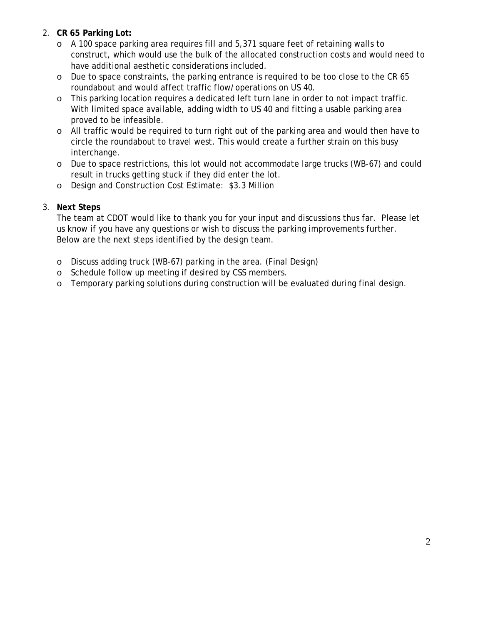# 2. **CR 65 Parking Lot:**

- o A 100 space parking area requires fill and 5,371 square feet of retaining walls to construct, which would use the bulk of the allocated construction costs and would need to have additional aesthetic considerations included.
- o Due to space constraints, the parking entrance is required to be too close to the CR 65 roundabout and would affect traffic flow/operations on US 40.
- o This parking location requires a dedicated left turn lane in order to not impact traffic. With limited space available, adding width to US 40 and fitting a usable parking area proved to be infeasible.
- o All traffic would be required to turn right out of the parking area and would then have to circle the roundabout to travel west. This would create a further strain on this busy interchange.
- o Due to space restrictions, this lot would not accommodate large trucks (WB-67) and could result in trucks getting stuck if they did enter the lot.
- o Design and Construction Cost Estimate: \$3.3 Million

# 3. **Next Steps**

The team at CDOT would like to thank you for your input and discussions thus far. Please let us know if you have any questions or wish to discuss the parking improvements further. Below are the next steps identified by the design team.

- o Discuss adding truck (WB-67) parking in the area. (Final Design)
- o Schedule follow up meeting if desired by CSS members.
- o Temporary parking solutions during construction will be evaluated during final design.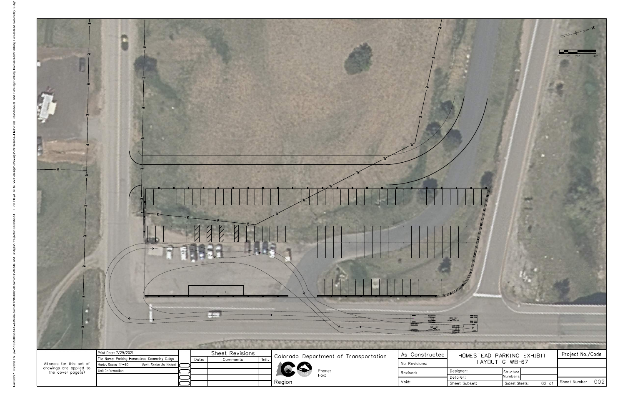